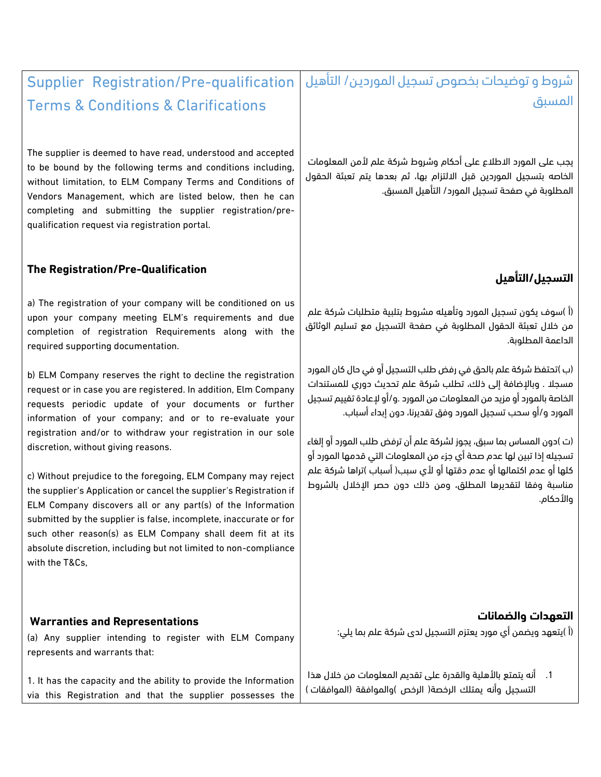### شروط و توضيحات بخصوص تسجيل المورديـن/ التأهيل المسبق Supplier Registration/Pre-qualification

يجب على المورد الاطلاع على أحكام وشروط شركة علم لأمن المعلومات الخاصه بتسجيل الموردين قبل االلتزام بها، ثم بعدها يتم تعبئة الحقول المطلوبة في صفحة تسجيل المورد/ التأهيل المسبق.

## **التسجيل/التأهيل**

(أ )سوف يكون تسجيل المورد وتأهيله مشروط بتلبية متطلبات شركة علم من خالل تعبئة الحقول المطلوبة في صفحة التسجيل مع تسليم الوثائق الداعمة المطلوبة.

(ب )تحتفظ شركة علم بالحق في رفض طلب التسجيل أو في حال كان المورد مسجال . وباإلضافة إلى ذلك، تطلب شركة علم تحديث دوري للمستندات الخاصة بالمورد أو مزيد من المعلومات من المورد .و/أو إلعادة تقييم تسجيل المورد و/أو سحب تسجيل المورد وفق تقديرنا، دون إبداء أسباب.

(ت )دون المساس بما سبق، يجوز لشركة علم أن ترفض طلب المورد أو إلغاء تسجيله إذا تبين لها عدم صحة أي جزء من المعلومات التي قدمها المورد أو كلها أو عدم اكتمالها أو عدم دقتها أو ألي سبب( أسباب )تراها شركة علم مناسبة وفقا لتقديرها المطلق، ومن ذلك دون حصر اإلخالل بالشروط واألحكام.

### **التعهدات والضمانات**

(أ )يتعهد ويضمن أي مورد يعتزم التسجيل لدى شركة علم بما يلي:

1. أنه يتمتع بالأهلية والقدرة على تقديم المعلومات من خلال هذا التسجيل وأنه يمتلك الرخصة( الرخص )والموافقة (الموافقات )

# Terms & Conditions & Clarifications

The supplier is deemed to have read, understood and accepted to be bound by the following terms and conditions including, without limitation, to ELM Company Terms and Conditions of Vendors Management, which are listed below, then he can completing and submitting the supplier registration/prequalification request via registration portal.

### **The Registration/Pre-Qualification**

a) The registration of your company will be conditioned on us upon your company meeting ELM's requirements and due completion of registration Requirements along with the required supporting documentation.

b) ELM Company reserves the right to decline the registration request or in case you are registered. In addition, Elm Company requests periodic update of your documents or further information of your company; and or to re-evaluate your registration and/or to withdraw your registration in our sole discretion, without giving reasons.

c) Without prejudice to the foregoing, ELM Company may reject the supplier's Application or cancel the supplier's Registration if ELM Company discovers all or any part(s) of the Information submitted by the supplier is false, incomplete, inaccurate or for such other reason(s) as ELM Company shall deem fit at its absolute discretion, including but not limited to non-compliance with the T&Cs,

### **Warranties and Representations**

(a) Any supplier intending to register with ELM Company represents and warrants that:

1. It has the capacity and the ability to provide the Information via this Registration and that the supplier possesses the